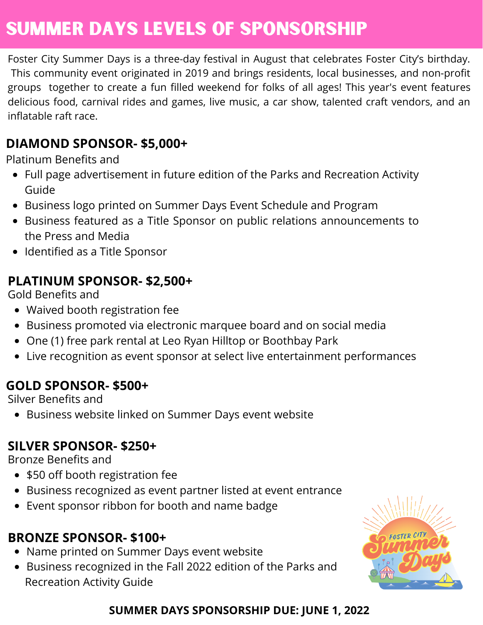# Summer DAYS Levels of sponsorship

Foster City Summer Days is a three-day festival in August that celebrates Foster City's birthday. This community event originated in 2019 and brings residents, local businesses, and non-profit groups together to create a fun filled weekend for folks of all ages! This year's event features delicious food, carnival rides and games, live music, a car show, talented craft vendors, and an inflatable raft race.

#### **DIAMOND SPONSOR- \$5,000+**

Platinum Benefits and

- Full page advertisement in future edition of the Parks and Recreation Activity Guide
- Business logo printed on Summer Days Event Schedule and Program
- Business featured as a Title Sponsor on public relations announcements to the Press and Media
- Identified as a Title Sponsor

#### **PLATINUM SPONSOR- \$2,500+**

Gold Benefits and

- Waived booth registration fee
- Business promoted via electronic marquee board and on social media
- One (1) free park rental at Leo Ryan Hilltop or Boothbay Park
- Live recognition as event sponsor at select live entertainment performances

#### **GOLD SPONSOR- \$500+**

Silver Benefits and

Business website linked on Summer Days event website

#### **SILVER SPONSOR- \$250+**

Bronze Benefits and

- \$50 off booth registration fee
- Business recognized as event partner listed at event entrance
- Event sponsor ribbon for booth and name badge

### **BRONZE SPONSOR- \$100+**

- Name printed on Summer Days event website
- Business recognized in the Fall 2022 edition of the Parks and Recreation Activity Guide



#### **SUMMER DAYS SPONSORSHIP DUE: JUNE 1, 2022**